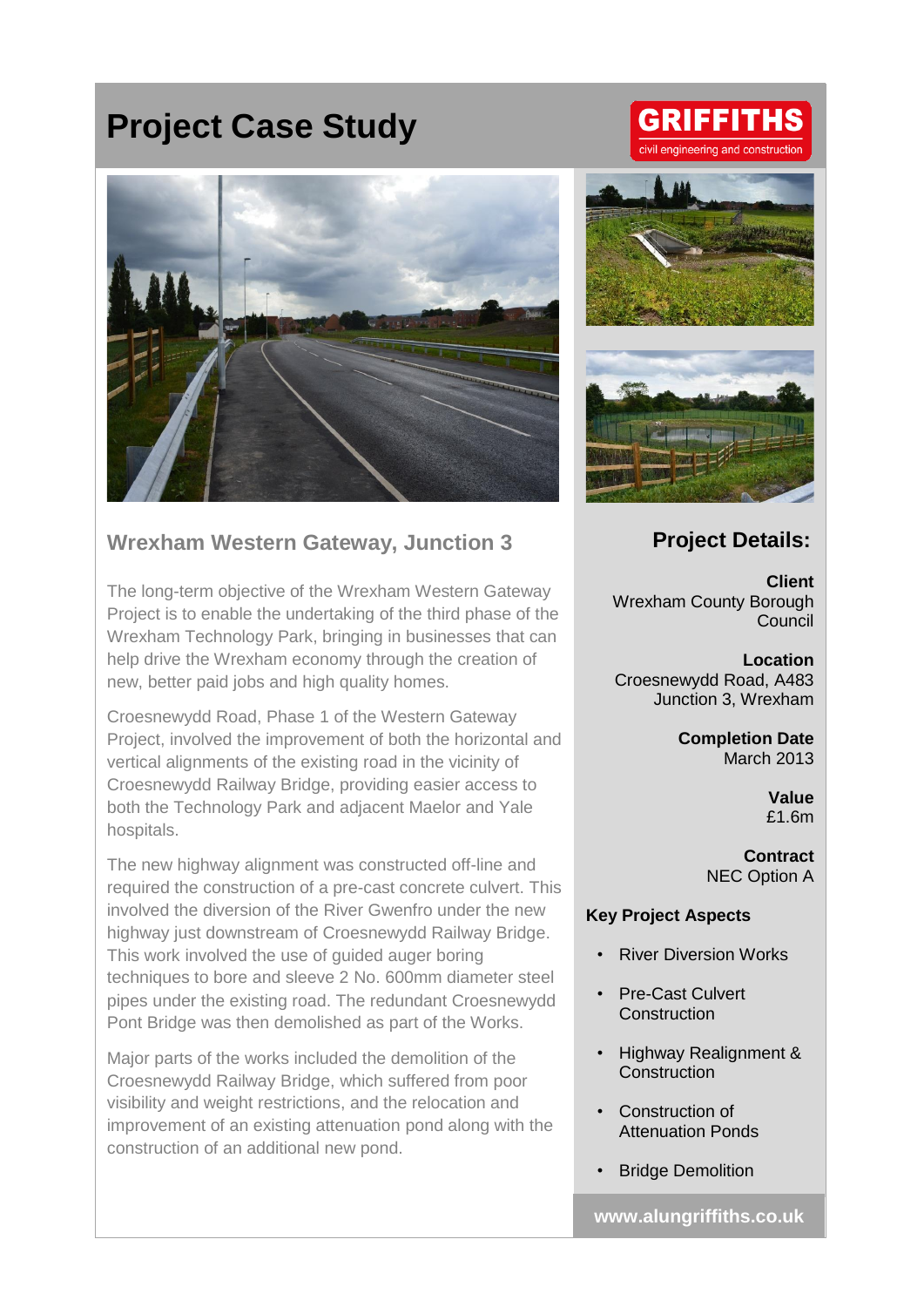# **Project Case Study**



## **Wrexham Western Gateway, Junction 3**

The long-term objective of the Wrexham Western Gateway Project is to enable the undertaking of the third phase of the Wrexham Technology Park, bringing in businesses that can help drive the Wrexham economy through the creation of new, better paid jobs and high quality homes.

Croesnewydd Road, Phase 1 of the Western Gateway Project, involved the improvement of both the horizontal and vertical alignments of the existing road in the vicinity of Croesnewydd Railway Bridge, providing easier access to both the Technology Park and adjacent Maelor and Yale hospitals.

The new highway alignment was constructed off-line and required the construction of a pre-cast concrete culvert. This involved the diversion of the River Gwenfro under the new highway just downstream of Croesnewydd Railway Bridge. This work involved the use of guided auger boring techniques to bore and sleeve 2 No. 600mm diameter steel pipes under the existing road. The redundant Croesnewydd Pont Bridge was then demolished as part of the Works.

Major parts of the works included the demolition of the Croesnewydd Railway Bridge, which suffered from poor visibility and weight restrictions, and the relocation and improvement of an existing attenuation pond along with the construction of an additional new pond.

# **GRIFFITHS** eering and construction





### **Project Details:**

**Client** Wrexham County Borough **Council** 

**Location** Croesnewydd Road, A483 Junction 3, Wrexham

> **Completion Date** March 2013

> > **Value** £1.6m

**Contract** NEC Option A

#### **Key Project Aspects**

- **River Diversion Works**
- Pre-Cast Culvert **Construction**
- Highway Realignment & **Construction**
- Construction of Attenuation Ponds
- Bridge Demolition